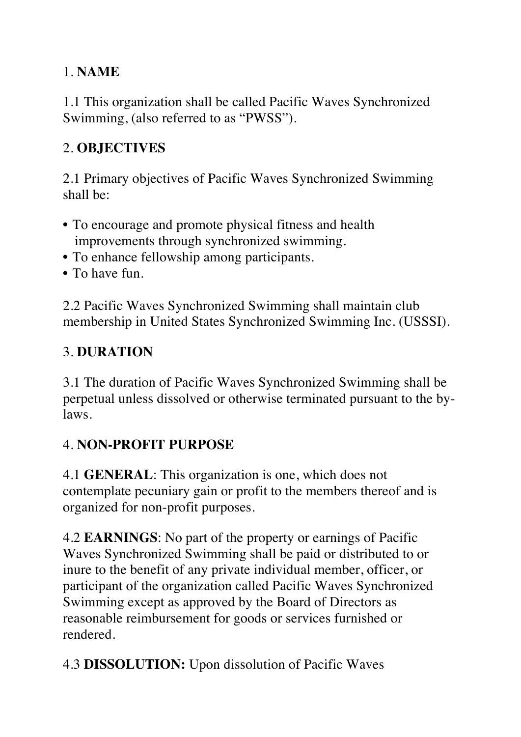#### 1. **NAME**

1.1 This organization shall be called Pacific Waves Synchronized Swimming, (also referred to as "PWSS").

#### 2. **OBJECTIVES**

2.1 Primary objectives of Pacific Waves Synchronized Swimming shall be:

- To encourage and promote physical fitness and health improvements through synchronized swimming.
- To enhance fellowship among participants.
- To have fun.

2.2 Pacific Waves Synchronized Swimming shall maintain club membership in United States Synchronized Swimming Inc. (USSSI).

# 3. **DURATION**

3.1 The duration of Pacific Waves Synchronized Swimming shall be perpetual unless dissolved or otherwise terminated pursuant to the bylaws.

#### 4. **NON-PROFIT PURPOSE**

4.1 **GENERAL**: This organization is one, which does not contemplate pecuniary gain or profit to the members thereof and is organized for non-profit purposes.

4.2 **EARNINGS**: No part of the property or earnings of Pacific Waves Synchronized Swimming shall be paid or distributed to or inure to the benefit of any private individual member, officer, or participant of the organization called Pacific Waves Synchronized Swimming except as approved by the Board of Directors as reasonable reimbursement for goods or services furnished or rendered.

4.3 **DISSOLUTION:** Upon dissolution of Pacific Waves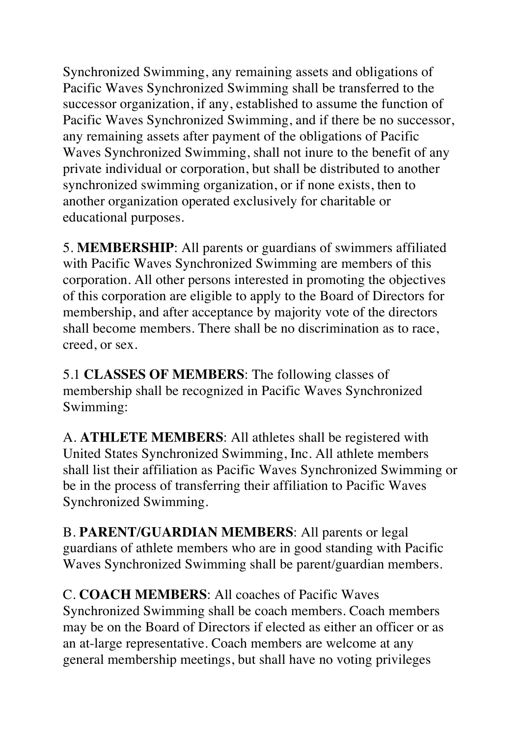Synchronized Swimming, any remaining assets and obligations of Pacific Waves Synchronized Swimming shall be transferred to the successor organization, if any, established to assume the function of Pacific Waves Synchronized Swimming, and if there be no successor, any remaining assets after payment of the obligations of Pacific Waves Synchronized Swimming, shall not inure to the benefit of any private individual or corporation, but shall be distributed to another synchronized swimming organization, or if none exists, then to another organization operated exclusively for charitable or educational purposes.

5. **MEMBERSHIP**: All parents or guardians of swimmers affiliated with Pacific Waves Synchronized Swimming are members of this corporation. All other persons interested in promoting the objectives of this corporation are eligible to apply to the Board of Directors for membership, and after acceptance by majority vote of the directors shall become members. There shall be no discrimination as to race, creed, or sex.

5.1 **CLASSES OF MEMBERS**: The following classes of membership shall be recognized in Pacific Waves Synchronized Swimming:

A. **ATHLETE MEMBERS**: All athletes shall be registered with United States Synchronized Swimming, Inc. All athlete members shall list their affiliation as Pacific Waves Synchronized Swimming or be in the process of transferring their affiliation to Pacific Waves Synchronized Swimming.

B. **PARENT/GUARDIAN MEMBERS**: All parents or legal guardians of athlete members who are in good standing with Pacific Waves Synchronized Swimming shall be parent/guardian members.

C. **COACH MEMBERS**: All coaches of Pacific Waves Synchronized Swimming shall be coach members. Coach members may be on the Board of Directors if elected as either an officer or as an at-large representative. Coach members are welcome at any general membership meetings, but shall have no voting privileges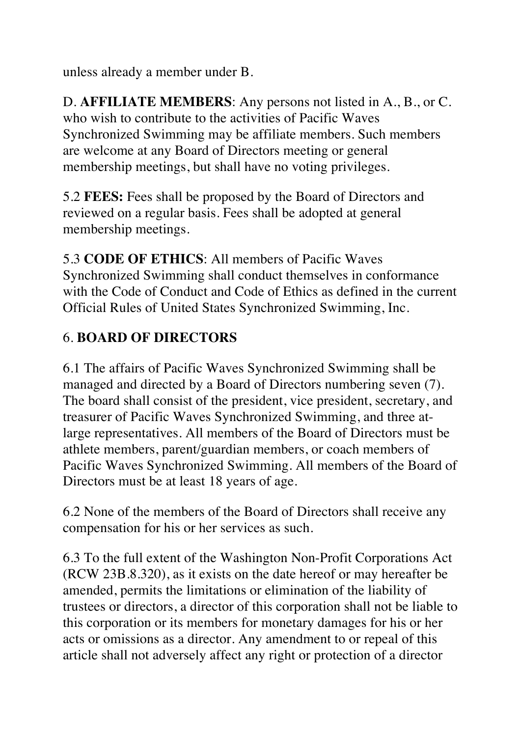unless already a member under B.

D. **AFFILIATE MEMBERS**: Any persons not listed in A., B., or C. who wish to contribute to the activities of Pacific Waves Synchronized Swimming may be affiliate members. Such members are welcome at any Board of Directors meeting or general membership meetings, but shall have no voting privileges.

5.2 **FEES:** Fees shall be proposed by the Board of Directors and reviewed on a regular basis. Fees shall be adopted at general membership meetings.

5.3 **CODE OF ETHICS**: All members of Pacific Waves Synchronized Swimming shall conduct themselves in conformance with the Code of Conduct and Code of Ethics as defined in the current Official Rules of United States Synchronized Swimming, Inc.

#### 6. **BOARD OF DIRECTORS**

6.1 The affairs of Pacific Waves Synchronized Swimming shall be managed and directed by a Board of Directors numbering seven (7). The board shall consist of the president, vice president, secretary, and treasurer of Pacific Waves Synchronized Swimming, and three atlarge representatives. All members of the Board of Directors must be athlete members, parent/guardian members, or coach members of Pacific Waves Synchronized Swimming. All members of the Board of Directors must be at least 18 years of age.

6.2 None of the members of the Board of Directors shall receive any compensation for his or her services as such.

6.3 To the full extent of the Washington Non-Profit Corporations Act (RCW 23B.8.320), as it exists on the date hereof or may hereafter be amended, permits the limitations or elimination of the liability of trustees or directors, a director of this corporation shall not be liable to this corporation or its members for monetary damages for his or her acts or omissions as a director. Any amendment to or repeal of this article shall not adversely affect any right or protection of a director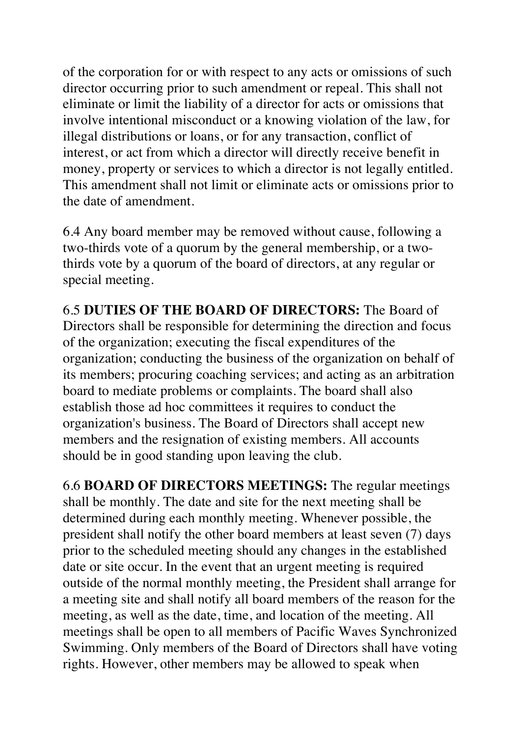of the corporation for or with respect to any acts or omissions of such director occurring prior to such amendment or repeal. This shall not eliminate or limit the liability of a director for acts or omissions that involve intentional misconduct or a knowing violation of the law, for illegal distributions or loans, or for any transaction, conflict of interest, or act from which a director will directly receive benefit in money, property or services to which a director is not legally entitled. This amendment shall not limit or eliminate acts or omissions prior to the date of amendment.

6.4 Any board member may be removed without cause, following a two-thirds vote of a quorum by the general membership, or a twothirds vote by a quorum of the board of directors, at any regular or special meeting.

6.5 **DUTIES OF THE BOARD OF DIRECTORS:** The Board of Directors shall be responsible for determining the direction and focus of the organization; executing the fiscal expenditures of the organization; conducting the business of the organization on behalf of its members; procuring coaching services; and acting as an arbitration board to mediate problems or complaints. The board shall also establish those ad hoc committees it requires to conduct the organization's business. The Board of Directors shall accept new members and the resignation of existing members. All accounts should be in good standing upon leaving the club.

6.6 **BOARD OF DIRECTORS MEETINGS:** The regular meetings shall be monthly. The date and site for the next meeting shall be determined during each monthly meeting. Whenever possible, the president shall notify the other board members at least seven (7) days prior to the scheduled meeting should any changes in the established date or site occur. In the event that an urgent meeting is required outside of the normal monthly meeting, the President shall arrange for a meeting site and shall notify all board members of the reason for the meeting, as well as the date, time, and location of the meeting. All meetings shall be open to all members of Pacific Waves Synchronized Swimming. Only members of the Board of Directors shall have voting rights. However, other members may be allowed to speak when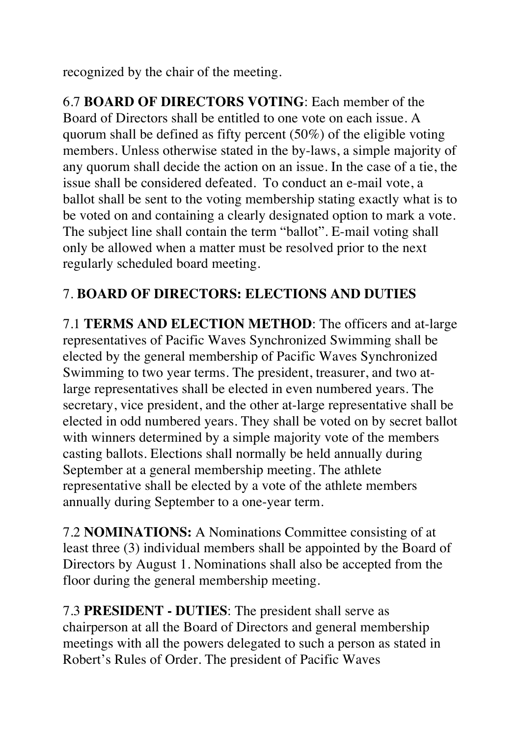recognized by the chair of the meeting.

6.7 **BOARD OF DIRECTORS VOTING**: Each member of the Board of Directors shall be entitled to one vote on each issue. A quorum shall be defined as fifty percent (50%) of the eligible voting members. Unless otherwise stated in the by-laws, a simple majority of any quorum shall decide the action on an issue. In the case of a tie, the issue shall be considered defeated. To conduct an e-mail vote, a ballot shall be sent to the voting membership stating exactly what is to be voted on and containing a clearly designated option to mark a vote. The subject line shall contain the term "ballot". E-mail voting shall only be allowed when a matter must be resolved prior to the next regularly scheduled board meeting.

#### 7. **BOARD OF DIRECTORS: ELECTIONS AND DUTIES**

7.1 **TERMS AND ELECTION METHOD**: The officers and at-large representatives of Pacific Waves Synchronized Swimming shall be elected by the general membership of Pacific Waves Synchronized Swimming to two year terms. The president, treasurer, and two atlarge representatives shall be elected in even numbered years. The secretary, vice president, and the other at-large representative shall be elected in odd numbered years. They shall be voted on by secret ballot with winners determined by a simple majority vote of the members casting ballots. Elections shall normally be held annually during September at a general membership meeting. The athlete representative shall be elected by a vote of the athlete members annually during September to a one-year term.

7.2 **NOMINATIONS:** A Nominations Committee consisting of at least three (3) individual members shall be appointed by the Board of Directors by August 1. Nominations shall also be accepted from the floor during the general membership meeting.

7.3 **PRESIDENT - DUTIES**: The president shall serve as chairperson at all the Board of Directors and general membership meetings with all the powers delegated to such a person as stated in Robert's Rules of Order. The president of Pacific Waves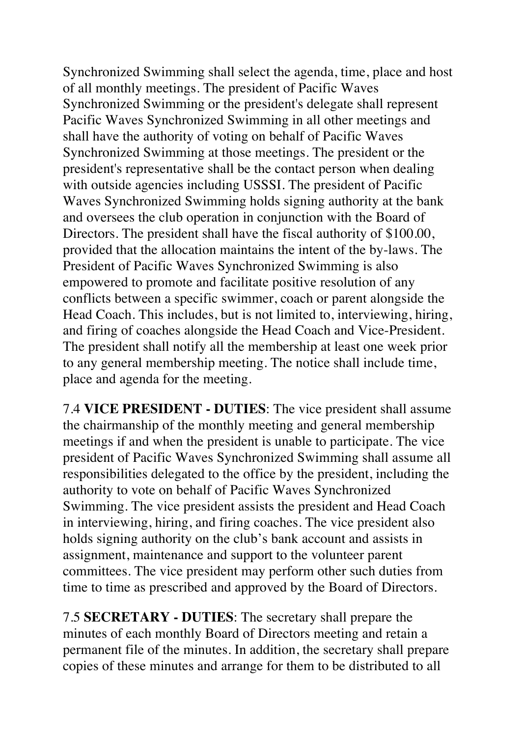Synchronized Swimming shall select the agenda, time, place and host of all monthly meetings. The president of Pacific Waves Synchronized Swimming or the president's delegate shall represent Pacific Waves Synchronized Swimming in all other meetings and shall have the authority of voting on behalf of Pacific Waves Synchronized Swimming at those meetings. The president or the president's representative shall be the contact person when dealing with outside agencies including USSSI. The president of Pacific Waves Synchronized Swimming holds signing authority at the bank and oversees the club operation in conjunction with the Board of Directors. The president shall have the fiscal authority of \$100.00, provided that the allocation maintains the intent of the by-laws. The President of Pacific Waves Synchronized Swimming is also empowered to promote and facilitate positive resolution of any conflicts between a specific swimmer, coach or parent alongside the Head Coach. This includes, but is not limited to, interviewing, hiring, and firing of coaches alongside the Head Coach and Vice-President. The president shall notify all the membership at least one week prior to any general membership meeting. The notice shall include time, place and agenda for the meeting.

7.4 **VICE PRESIDENT - DUTIES**: The vice president shall assume the chairmanship of the monthly meeting and general membership meetings if and when the president is unable to participate. The vice president of Pacific Waves Synchronized Swimming shall assume all responsibilities delegated to the office by the president, including the authority to vote on behalf of Pacific Waves Synchronized Swimming. The vice president assists the president and Head Coach in interviewing, hiring, and firing coaches. The vice president also holds signing authority on the club's bank account and assists in assignment, maintenance and support to the volunteer parent committees. The vice president may perform other such duties from time to time as prescribed and approved by the Board of Directors.

7.5 **SECRETARY - DUTIES**: The secretary shall prepare the minutes of each monthly Board of Directors meeting and retain a permanent file of the minutes. In addition, the secretary shall prepare copies of these minutes and arrange for them to be distributed to all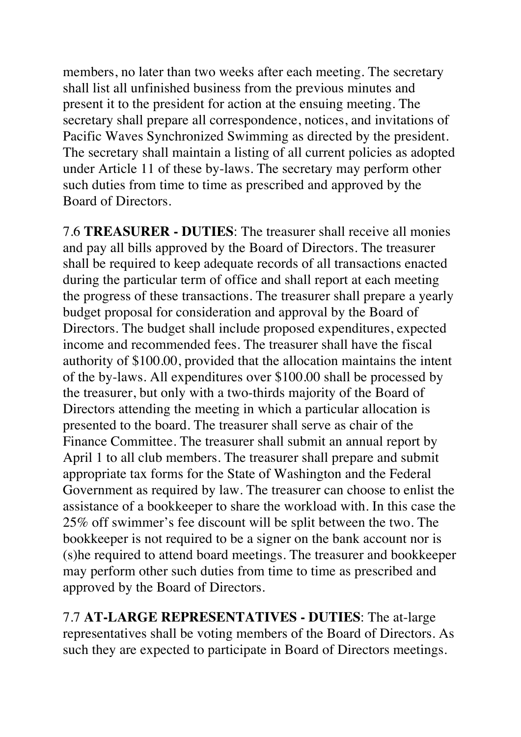members, no later than two weeks after each meeting. The secretary shall list all unfinished business from the previous minutes and present it to the president for action at the ensuing meeting. The secretary shall prepare all correspondence, notices, and invitations of Pacific Waves Synchronized Swimming as directed by the president. The secretary shall maintain a listing of all current policies as adopted under Article 11 of these by-laws. The secretary may perform other such duties from time to time as prescribed and approved by the Board of Directors.

7.6 **TREASURER - DUTIES**: The treasurer shall receive all monies and pay all bills approved by the Board of Directors. The treasurer shall be required to keep adequate records of all transactions enacted during the particular term of office and shall report at each meeting the progress of these transactions. The treasurer shall prepare a yearly budget proposal for consideration and approval by the Board of Directors. The budget shall include proposed expenditures, expected income and recommended fees. The treasurer shall have the fiscal authority of \$100.00, provided that the allocation maintains the intent of the by-laws. All expenditures over \$100.00 shall be processed by the treasurer, but only with a two-thirds majority of the Board of Directors attending the meeting in which a particular allocation is presented to the board. The treasurer shall serve as chair of the Finance Committee. The treasurer shall submit an annual report by April 1 to all club members. The treasurer shall prepare and submit appropriate tax forms for the State of Washington and the Federal Government as required by law. The treasurer can choose to enlist the assistance of a bookkeeper to share the workload with. In this case the 25% off swimmer's fee discount will be split between the two. The bookkeeper is not required to be a signer on the bank account nor is (s)he required to attend board meetings. The treasurer and bookkeeper may perform other such duties from time to time as prescribed and approved by the Board of Directors.

7.7 **AT-LARGE REPRESENTATIVES - DUTIES**: The at-large representatives shall be voting members of the Board of Directors. As such they are expected to participate in Board of Directors meetings.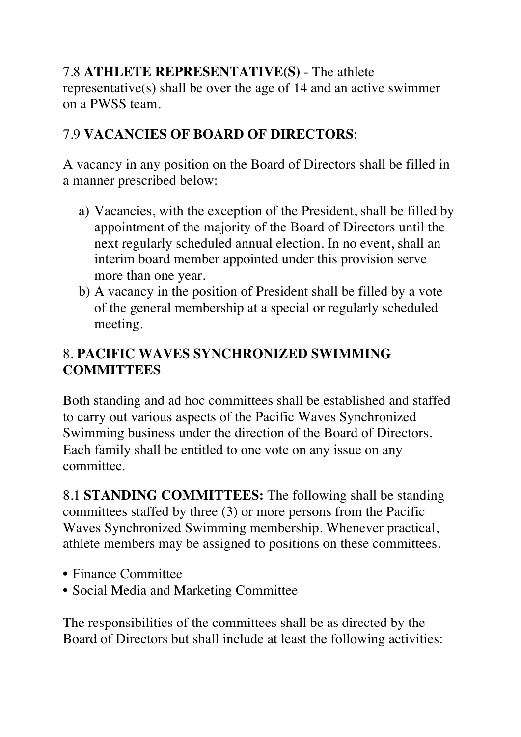#### 7.8 **ATHLETE REPRESENTATIVE(S)** - The athlete representative(s) shall be over the age of 14 and an active swimmer on a PWSS team.

# 7.9 **VACANCIES OF BOARD OF DIRECTORS**:

A vacancy in any position on the Board of Directors shall be filled in a manner prescribed below:

- a) Vacancies, with the exception of the President, shall be filled by appointment of the majority of the Board of Directors until the next regularly scheduled annual election. In no event, shall an interim board member appointed under this provision serve more than one year.
- b) A vacancy in the position of President shall be filled by a vote of the general membership at a special or regularly scheduled meeting.

#### 8. **PACIFIC WAVES SYNCHRONIZED SWIMMING COMMITTEES**

Both standing and ad hoc committees shall be established and staffed to carry out various aspects of the Pacific Waves Synchronized Swimming business under the direction of the Board of Directors. Each family shall be entitled to one vote on any issue on any committee.

8.1 **STANDING COMMITTEES:** The following shall be standing committees staffed by three (3) or more persons from the Pacific Waves Synchronized Swimming membership. Whenever practical, athlete members may be assigned to positions on these committees.

- Finance Committee
- Social Media and Marketing Committee

The responsibilities of the committees shall be as directed by the Board of Directors but shall include at least the following activities: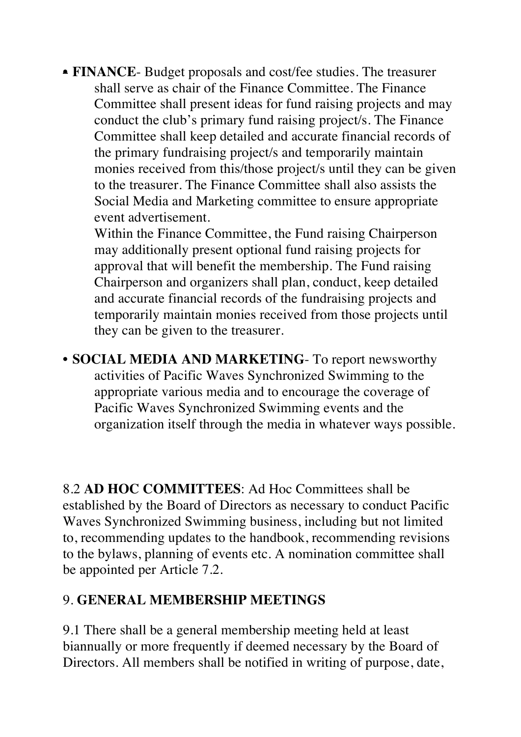• **FINANCE**- Budget proposals and cost/fee studies. The treasurer shall serve as chair of the Finance Committee. The Finance Committee shall present ideas for fund raising projects and may conduct the club's primary fund raising project/s. The Finance Committee shall keep detailed and accurate financial records of the primary fundraising project/s and temporarily maintain monies received from this/those project/s until they can be given to the treasurer. The Finance Committee shall also assists the Social Media and Marketing committee to ensure appropriate event advertisement.

Within the Finance Committee, the Fund raising Chairperson may additionally present optional fund raising projects for approval that will benefit the membership. The Fund raising Chairperson and organizers shall plan, conduct, keep detailed and accurate financial records of the fundraising projects and temporarily maintain monies received from those projects until they can be given to the treasurer.

• **SOCIAL MEDIA AND MARKETING**- To report newsworthy activities of Pacific Waves Synchronized Swimming to the appropriate various media and to encourage the coverage of Pacific Waves Synchronized Swimming events and the organization itself through the media in whatever ways possible.

8.2 **AD HOC COMMITTEES**: Ad Hoc Committees shall be established by the Board of Directors as necessary to conduct Pacific Waves Synchronized Swimming business, including but not limited to, recommending updates to the handbook, recommending revisions to the bylaws, planning of events etc. A nomination committee shall be appointed per Article 7.2.

#### 9. **GENERAL MEMBERSHIP MEETINGS**

9.1 There shall be a general membership meeting held at least biannually or more frequently if deemed necessary by the Board of Directors. All members shall be notified in writing of purpose, date,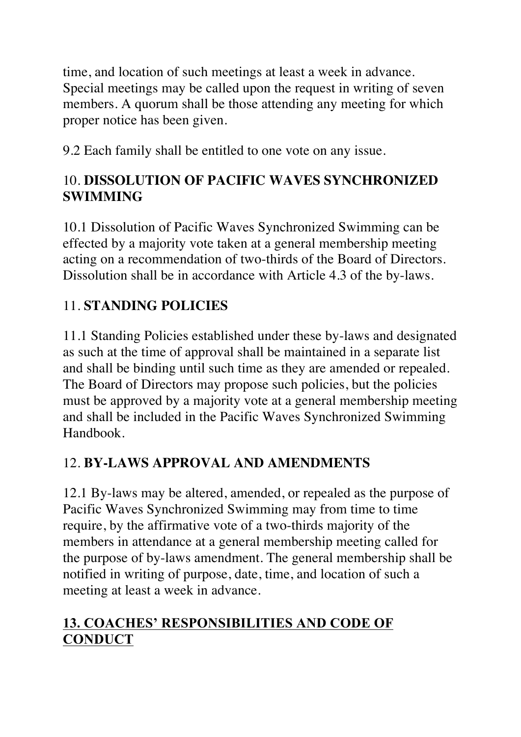time, and location of such meetings at least a week in advance. Special meetings may be called upon the request in writing of seven members. A quorum shall be those attending any meeting for which proper notice has been given.

9.2 Each family shall be entitled to one vote on any issue.

# 10. **DISSOLUTION OF PACIFIC WAVES SYNCHRONIZED SWIMMING**

10.1 Dissolution of Pacific Waves Synchronized Swimming can be effected by a majority vote taken at a general membership meeting acting on a recommendation of two-thirds of the Board of Directors. Dissolution shall be in accordance with Article 4.3 of the by-laws.

# 11. **STANDING POLICIES**

11.1 Standing Policies established under these by-laws and designated as such at the time of approval shall be maintained in a separate list and shall be binding until such time as they are amended or repealed. The Board of Directors may propose such policies, but the policies must be approved by a majority vote at a general membership meeting and shall be included in the Pacific Waves Synchronized Swimming Handbook.

# 12. **BY-LAWS APPROVAL AND AMENDMENTS**

12.1 By-laws may be altered, amended, or repealed as the purpose of Pacific Waves Synchronized Swimming may from time to time require, by the affirmative vote of a two-thirds majority of the members in attendance at a general membership meeting called for the purpose of by-laws amendment. The general membership shall be notified in writing of purpose, date, time, and location of such a meeting at least a week in advance.

# **13. COACHES' RESPONSIBILITIES AND CODE OF CONDUCT**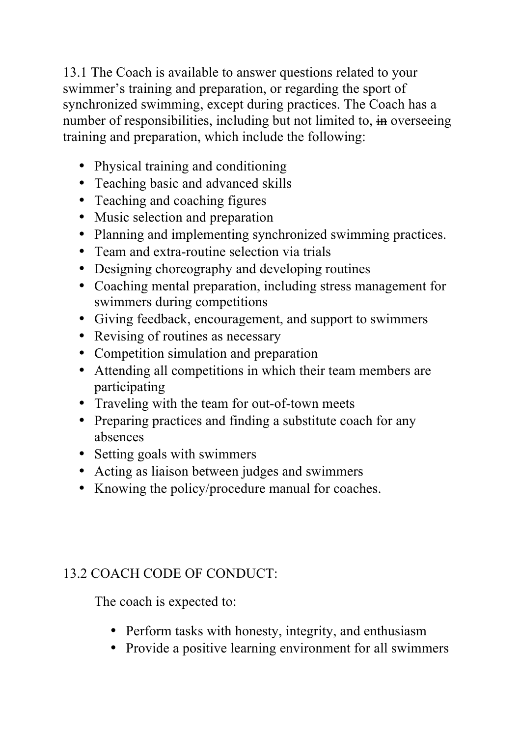13.1 The Coach is available to answer questions related to your swimmer's training and preparation, or regarding the sport of synchronized swimming, except during practices. The Coach has a number of responsibilities, including but not limited to, in overseeing training and preparation, which include the following:

- Physical training and conditioning
- Teaching basic and advanced skills
- Teaching and coaching figures
- Music selection and preparation
- Planning and implementing synchronized swimming practices.
- Team and extra-routine selection via trials
- Designing choreography and developing routines
- Coaching mental preparation, including stress management for swimmers during competitions
- Giving feedback, encouragement, and support to swimmers
- Revising of routines as necessary
- Competition simulation and preparation
- Attending all competitions in which their team members are participating
- Traveling with the team for out-of-town meets
- Preparing practices and finding a substitute coach for any absences
- Setting goals with swimmers
- Acting as liaison between judges and swimmers
- Knowing the policy/procedure manual for coaches.

#### 13.2 COACH CODE OF CONDUCT:

The coach is expected to:

- Perform tasks with honesty, integrity, and enthusiasm
- Provide a positive learning environment for all swimmers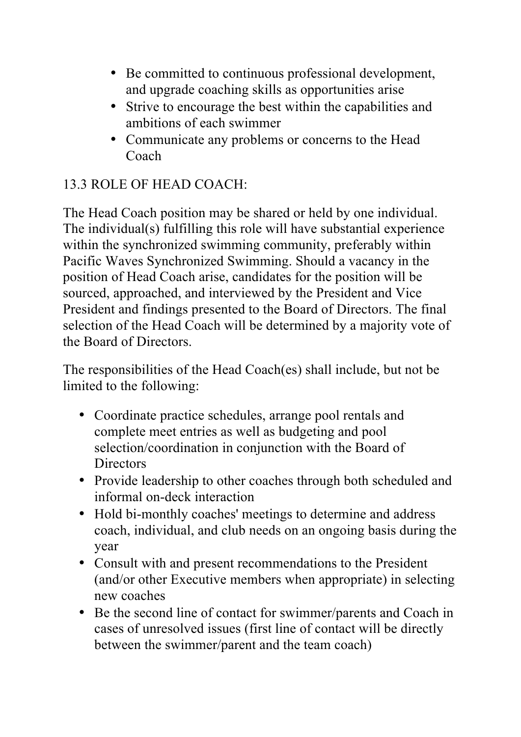- Be committed to continuous professional development, and upgrade coaching skills as opportunities arise
- Strive to encourage the best within the capabilities and ambitions of each swimmer
- Communicate any problems or concerns to the Head Coach

#### 13.3 ROLE OF HEAD COACH:

The Head Coach position may be shared or held by one individual. The individual(s) fulfilling this role will have substantial experience within the synchronized swimming community, preferably within Pacific Waves Synchronized Swimming. Should a vacancy in the position of Head Coach arise, candidates for the position will be sourced, approached, and interviewed by the President and Vice President and findings presented to the Board of Directors. The final selection of the Head Coach will be determined by a majority vote of the Board of Directors.

The responsibilities of the Head Coach(es) shall include, but not be limited to the following:

- Coordinate practice schedules, arrange pool rentals and complete meet entries as well as budgeting and pool selection/coordination in conjunction with the Board of **Directors**
- Provide leadership to other coaches through both scheduled and informal on-deck interaction
- Hold bi-monthly coaches' meetings to determine and address coach, individual, and club needs on an ongoing basis during the year
- Consult with and present recommendations to the President (and/or other Executive members when appropriate) in selecting new coaches
- Be the second line of contact for swimmer/parents and Coach in cases of unresolved issues (first line of contact will be directly between the swimmer/parent and the team coach)